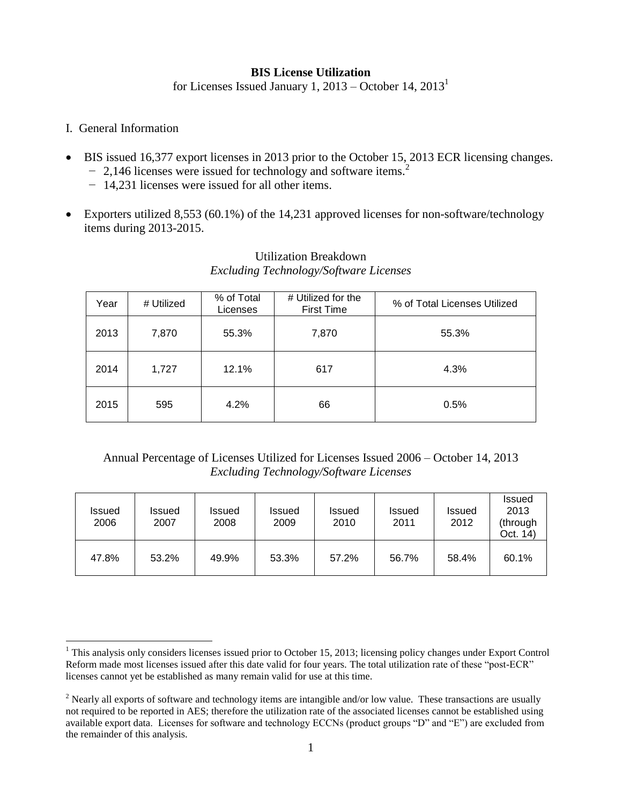## **BIS License Utilization**

for Licenses Issued January 1,  $2013 -$ October 14,  $2013<sup>1</sup>$ 

I. General Information

 $\overline{a}$ 

- BIS issued 16,377 export licenses in 2013 prior to the October 15, 2013 ECR licensing changes. − 2,146 licenses were issued for technology and software items.<sup>2</sup>
	- − 14,231 licenses were issued for all other items.
- Exporters utilized 8,553 (60.1%) of the 14,231 approved licenses for non-software/technology items during 2013-2015.

| Year | # Utilized | % of Total<br>Licenses | # Utilized for the<br><b>First Time</b> | % of Total Licenses Utilized |
|------|------------|------------------------|-----------------------------------------|------------------------------|
| 2013 | 7,870      | 55.3%                  | 7,870                                   | 55.3%                        |
| 2014 | 1,727      | 12.1%                  | 617                                     | 4.3%                         |
| 2015 | 595        | 4.2%                   | 66                                      | 0.5%                         |

## Utilization Breakdown *Excluding Technology/Software Licenses*

## Annual Percentage of Licenses Utilized for Licenses Issued 2006 – October 14, 2013 *Excluding Technology/Software Licenses*

| Issued<br>2006 | Issued<br>2007 | <b>Issued</b><br>2008 | <b>Issued</b><br>2009 | <b>Issued</b><br>2010 | <b>Issued</b><br>2011 | <b>Issued</b><br>2012 | <b>Issued</b><br>2013<br>(through<br>Oct. 14) |
|----------------|----------------|-----------------------|-----------------------|-----------------------|-----------------------|-----------------------|-----------------------------------------------|
| 47.8%          | 53.2%          | 49.9%                 | 53.3%                 | 57.2%                 | 56.7%                 | 58.4%                 | 60.1%                                         |

 $1$  This analysis only considers licenses issued prior to October 15, 2013; licensing policy changes under Export Control Reform made most licenses issued after this date valid for four years. The total utilization rate of these "post-ECR" licenses cannot yet be established as many remain valid for use at this time.

 $2$  Nearly all exports of software and technology items are intangible and/or low value. These transactions are usually not required to be reported in AES; therefore the utilization rate of the associated licenses cannot be established using available export data. Licenses for software and technology ECCNs (product groups "D" and "E") are excluded from the remainder of this analysis.